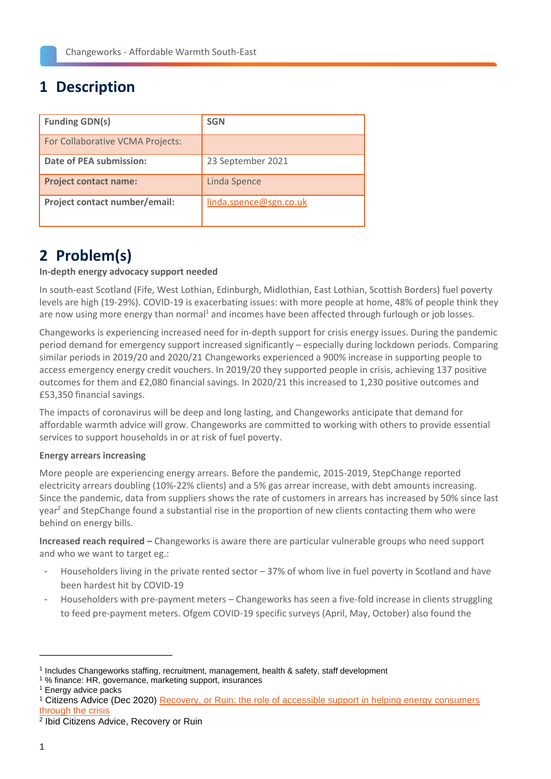# **1 Description**

| <b>Funding GDN(s)</b>            | <b>SGN</b>             |
|----------------------------------|------------------------|
| For Collaborative VCMA Projects: |                        |
| Date of PEA submission:          | 23 September 2021      |
| <b>Project contact name:</b>     | <b>Linda Spence</b>    |
| Project contact number/email:    | linda.spence@sgn.co.uk |

# **2 Problem(s)**

### **In-depth energy advocacy support needed**

In south-east Scotland (Fife, West Lothian, Edinburgh, Midlothian, East Lothian, Scottish Borders) fuel poverty levels are high (19-29%). COVID-19 is exacerbating issues: with more people at home, 48% of people think they are now using more energy than normal<sup>1</sup> and incomes have been affected through furlough or job losses.

Changeworks is experiencing increased need for in-depth support for crisis energy issues. During the pandemic period demand for emergency support increased significantly – especially during lockdown periods. Comparing similar periods in 2019/20 and 2020/21 Changeworks experienced a 900% increase in supporting people to access emergency energy credit vouchers. In 2019/20 they supported people in crisis, achieving 137 positive outcomes for them and £2,080 financial savings. In 2020/21 this increased to 1,230 positive outcomes and £53,350 financial savings.

The impacts of coronavirus will be deep and long lasting, and Changeworks anticipate that demand for affordable warmth advice will grow. Changeworks are committed to working with others to provide essential services to support households in or at risk of fuel poverty.

### **Energy arrears increasing**

More people are experiencing energy arrears. Before the pandemic, 2015-2019, StepChange reported electricity arrears doubling (10%-22% clients) and a 5% gas arrear increase, with debt amounts increasing. Since the pandemic, data from suppliers shows the rate of customers in arrears has increased by 50% since last year<sup>2</sup> and StepChange found a substantial rise in the proportion of new clients contacting them who were behind on energy bills.

**Increased reach required –** Changeworks is aware there are particular vulnerable groups who need support and who we want to target eg.:

- Householders living in the private rented sector 37% of whom live in fuel poverty in Scotland and have been hardest hit by COVID-19
- Householders with pre-payment meters Changeworks has seen a five-fold increase in clients struggling to feed pre-payment meters. Ofgem COVID-19 specific surveys (April, May, October) also found the

2 Ibid Citizens Advice, Recovery or Ruin

<sup>1</sup> Includes Changeworks staffing, recruitment, management, health & safety, staff development

<sup>1</sup> % finance: HR, governance, marketing support, insurances

<sup>1</sup> Energy advice packs

<sup>1</sup> Citizens Advice (Dec 2020) [Recovery, or Ruin: the role of accessible support in helping energy consumers](https://www.citizensadvice.org.uk/Global/CitizensAdvice/Energy/Recovery%20or%20ruin%20(1).pdf)  [through the crisis](https://www.citizensadvice.org.uk/Global/CitizensAdvice/Energy/Recovery%20or%20ruin%20(1).pdf)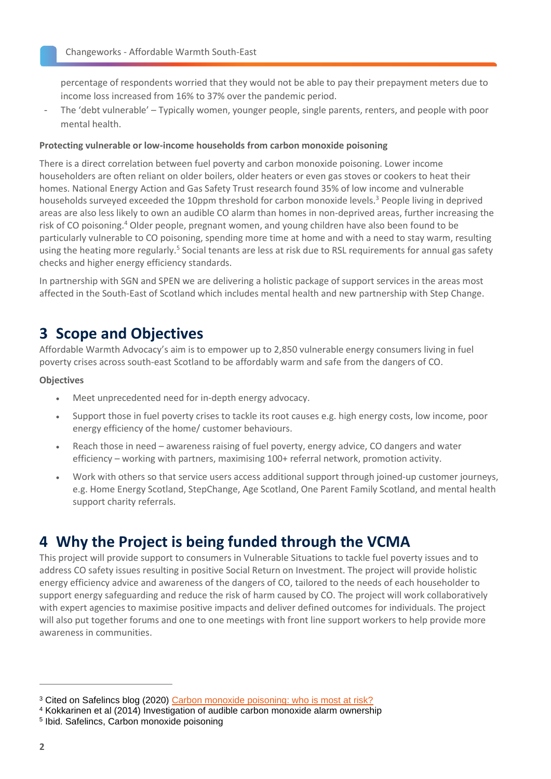percentage of respondents worried that they would not be able to pay their prepayment meters due to income loss increased from 16% to 37% over the pandemic period.

- The 'debt vulnerable' – Typically women, younger people, single parents, renters, and people with poor mental health.

#### **Protecting vulnerable or low-income households from carbon monoxide poisoning**

There is a direct correlation between fuel poverty and carbon monoxide poisoning. Lower income householders are often reliant on older boilers, older heaters or even gas stoves or cookers to heat their homes. National Energy Action and Gas Safety Trust research found 35% of low income and vulnerable households surveyed exceeded the 10ppm threshold for carbon monoxide levels.<sup>3</sup> People living in deprived areas are also less likely to own an audible CO alarm than homes in non-deprived areas, further increasing the risk of CO poisoning.<sup>4</sup> Older people, pregnant women, and young children have also been found to be particularly vulnerable to CO poisoning, spending more time at home and with a need to stay warm, resulting using the heating more regularly.<sup>5</sup> Social tenants are less at risk due to RSL requirements for annual gas safety checks and higher energy efficiency standards.

In partnership with SGN and SPEN we are delivering a holistic package of support services in the areas most affected in the South-East of Scotland which includes mental health and new partnership with Step Change.

## **3 Scope and Objectives**

Affordable Warmth Advocacy's aim is to empower up to 2,850 vulnerable energy consumers living in fuel poverty crises across south-east Scotland to be affordably warm and safe from the dangers of CO.

#### **Objectives**

- Meet unprecedented need for in-depth energy advocacy.
- Support those in fuel poverty crises to tackle its root causes e.g. high energy costs, low income, poor energy efficiency of the home/ customer behaviours.
- Reach those in need awareness raising of fuel poverty, energy advice, CO dangers and water efficiency – working with partners, maximising 100+ referral network, promotion activity.
- Work with others so that service users access additional support through joined-up customer journeys, e.g. Home Energy Scotland, StepChange, Age Scotland, One Parent Family Scotland, and mental health support charity referrals.

## **4 Why the Project is being funded through the VCMA**

This project will provide support to consumers in Vulnerable Situations to tackle fuel poverty issues and to address CO safety issues resulting in positive Social Return on Investment. The project will provide holistic energy efficiency advice and awareness of the dangers of CO, tailored to the needs of each householder to support energy safeguarding and reduce the risk of harm caused by CO. The project will work collaboratively with expert agencies to maximise positive impacts and deliver defined outcomes for individuals. The project will also put together forums and one to one meetings with front line support workers to help provide more awareness in communities.

<sup>&</sup>lt;sup>3</sup> Cited on Safelincs blog (2020) [Carbon monoxide poisoning: who is most at risk?](https://www.safelincs.co.uk/blog/2020/11/17/carbon-monoxide-poisoning-who-is-most-at-risk/)

<sup>4</sup> Kokkarinen et al (2014) Investigation of audible carbon monoxide alarm ownership

<sup>5</sup> Ibid. Safelincs, Carbon monoxide poisoning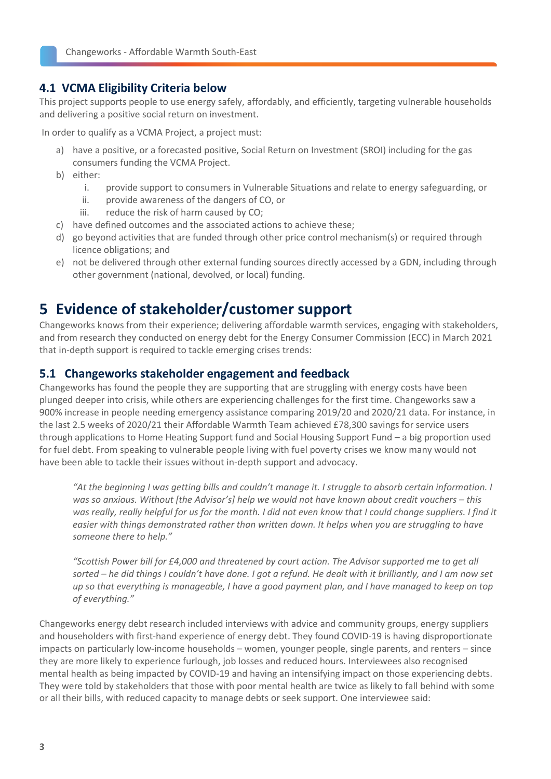### **4.1 VCMA Eligibility Criteria below**

This project supports people to use energy safely, affordably, and efficiently, targeting vulnerable households and delivering a positive social return on investment.

In order to qualify as a VCMA Project, a project must:

- a) have a positive, or a forecasted positive, Social Return on Investment (SROI) including for the gas consumers funding the VCMA Project.
- b) either:
	- i. provide support to consumers in Vulnerable Situations and relate to energy safeguarding, or
	- ii. provide awareness of the dangers of CO, or
	- iii. reduce the risk of harm caused by CO;
- c) have defined outcomes and the associated actions to achieve these;
- d) go beyond activities that are funded through other price control mechanism(s) or required through licence obligations; and
- e) not be delivered through other external funding sources directly accessed by a GDN, including through other government (national, devolved, or local) funding.

## **5 Evidence of stakeholder/customer support**

Changeworks knows from their experience; delivering affordable warmth services, engaging with stakeholders, and from research they conducted on energy debt for the Energy Consumer Commission (ECC) in March 2021 that in-depth support is required to tackle emerging crises trends:

### **5.1 Changeworks stakeholder engagement and feedback**

Changeworks has found the people they are supporting that are struggling with energy costs have been plunged deeper into crisis, while others are experiencing challenges for the first time. Changeworks saw a 900% increase in people needing emergency assistance comparing 2019/20 and 2020/21 data. For instance, in the last 2.5 weeks of 2020/21 their Affordable Warmth Team achieved £78,300 savings for service users through applications to Home Heating Support fund and Social Housing Support Fund – a big proportion used for fuel debt. From speaking to vulnerable people living with fuel poverty crises we know many would not have been able to tackle their issues without in-depth support and advocacy.

*"At the beginning I was getting bills and couldn't manage it. I struggle to absorb certain information. I was so anxious. Without [the Advisor's] help we would not have known about credit vouchers – this*  was really, really helpful for us for the month. I did not even know that I could change suppliers. I find it *easier with things demonstrated rather than written down. It helps when you are struggling to have someone there to help."* 

*"Scottish Power bill for £4,000 and threatened by court action. The Advisor supported me to get all sorted – he did things I couldn't have done. I got a refund. He dealt with it brilliantly, and I am now set up so that everything is manageable, I have a good payment plan, and I have managed to keep on top of everything."*

Changeworks energy debt research included interviews with advice and community groups, energy suppliers and householders with first-hand experience of energy debt. They found COVID-19 is having disproportionate impacts on particularly low-income households – women, younger people, single parents, and renters – since they are more likely to experience furlough, job losses and reduced hours. Interviewees also recognised mental health as being impacted by COVID-19 and having an intensifying impact on those experiencing debts. They were told by stakeholders that those with poor mental health are twice as likely to fall behind with some or all their bills, with reduced capacity to manage debts or seek support. One interviewee said: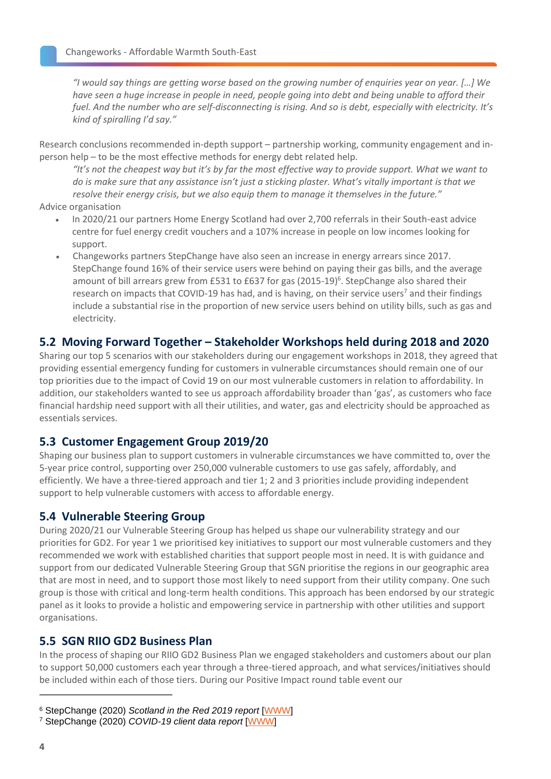*"I would say things are getting worse based on the growing number of enquiries year on year. […] We have seen a huge increase in people in need, people going into debt and being unable to afford their fuel. And the number who are self-disconnecting is rising. And so is debt, especially with electricity. It's kind of spiralling I'd say."* 

Research conclusions recommended in-depth support – partnership working, community engagement and inperson help – to be the most effective methods for energy debt related help.

*"It's not the cheapest way but it's by far the most effective way to provide support. What we want to do is make sure that any assistance isn't just a sticking plaster. What's vitally important is that we resolve their energy crisis, but we also equip them to manage it themselves in the future."* 

Advice organisation

- In 2020/21 our partners Home Energy Scotland had over 2,700 referrals in their South-east advice centre for fuel energy credit vouchers and a 107% increase in people on low incomes looking for support.
- Changeworks partners StepChange have also seen an increase in energy arrears since 2017. StepChange found 16% of their service users were behind on paying their gas bills, and the average amount of bill arrears grew from £531 to £637 for gas (2015-19)<sup>6</sup>. StepChange also shared their research on impacts that COVID-19 has had, and is having, on their service users<sup>7</sup> and their findings include a substantial rise in the proportion of new service users behind on utility bills, such as gas and electricity.

### **5.2 Moving Forward Together – Stakeholder Workshops held during 2018 and 2020**

Sharing our top 5 scenarios with our stakeholders during our engagement workshops in 2018, they agreed that providing essential emergency funding for customers in vulnerable circumstances should remain one of our top priorities due to the impact of Covid 19 on our most vulnerable customers in relation to affordability. In addition, our stakeholders wanted to see us approach affordability broader than 'gas', as customers who face financial hardship need support with all their utilities, and water, gas and electricity should be approached as essentials services.

### **5.3 Customer Engagement Group 2019/20**

Shaping our business plan to support customers in vulnerable circumstances we have committed to, over the 5-year price control, supporting over 250,000 vulnerable customers to use gas safely, affordably, and efficiently. We have a three-tiered approach and tier 1; 2 and 3 priorities include providing independent support to help vulnerable customers with access to affordable energy.

### **5.4 Vulnerable Steering Group**

During 2020/21 our Vulnerable Steering Group has helped us shape our vulnerability strategy and our priorities for GD2. For year 1 we prioritised key initiatives to support our most vulnerable customers and they recommended we work with established charities that support people most in need. It is with guidance and support from our dedicated Vulnerable Steering Group that SGN prioritise the regions in our geographic area that are most in need, and to support those most likely to need support from their utility company. One such group is those with critical and long-term health conditions. This approach has been endorsed by our strategic panel as it looks to provide a holistic and empowering service in partnership with other utilities and support organisations.

### **5.5 SGN RIIO GD2 Business Plan**

In the process of shaping our RIIO GD2 Business Plan we engaged stakeholders and customers about our plan to support 50,000 customers each year through a three-tiered approach, and what services/initiatives should be included within each of those tiers. During our Positive Impact round table event our

<sup>6</sup> StepChange (2020) *Scotland in the Red 2019 report* [\[WWW\]](https://www.stepchange.org/policy-and-research/personal-debt-statistics-in-the-uk/scotland-in-the-red-2019.aspx)

<sup>7</sup> StepChange (2020) *COVID-19 client data report* [\[WWW\]](https://www.stepchange.org/Portals/0/assets/pdf/covid-19-client-report-dec-2020.pdf)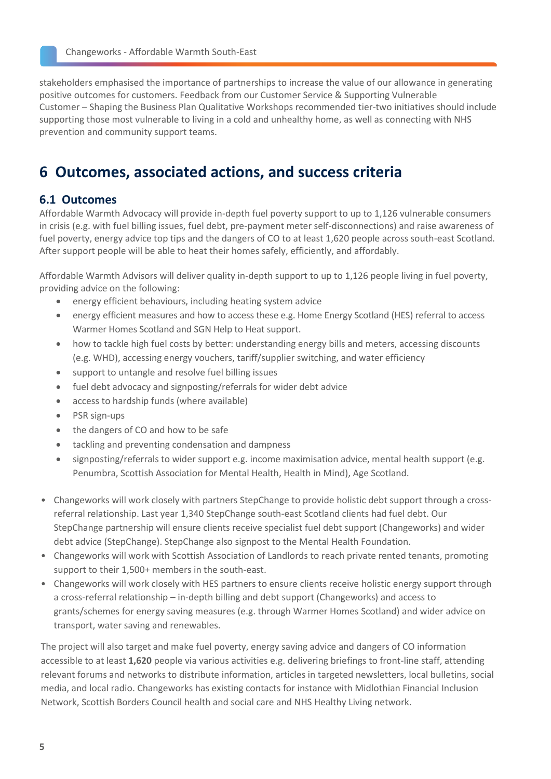stakeholders emphasised the importance of partnerships to increase the value of our allowance in generating positive outcomes for customers. Feedback from our Customer Service & Supporting Vulnerable Customer – Shaping the Business Plan Qualitative Workshops recommended tier-two initiatives should include supporting those most vulnerable to living in a cold and unhealthy home, as well as connecting with NHS prevention and community support teams.

## **6 Outcomes, associated actions, and success criteria**

### **6.1 Outcomes**

Affordable Warmth Advocacy will provide in-depth fuel poverty support to up to 1,126 vulnerable consumers in crisis (e.g. with fuel billing issues, fuel debt, pre-payment meter self-disconnections) and raise awareness of fuel poverty, energy advice top tips and the dangers of CO to at least 1,620 people across south-east Scotland. After support people will be able to heat their homes safely, efficiently, and affordably.

Affordable Warmth Advisors will deliver quality in-depth support to up to 1,126 people living in fuel poverty, providing advice on the following:

- energy efficient behaviours, including heating system advice
- energy efficient measures and how to access these e.g. Home Energy Scotland (HES) referral to access Warmer Homes Scotland and SGN Help to Heat support.
- how to tackle high fuel costs by better: understanding energy bills and meters, accessing discounts (e.g. WHD), accessing energy vouchers, tariff/supplier switching, and water efficiency
- support to untangle and resolve fuel billing issues
- fuel debt advocacy and signposting/referrals for wider debt advice
- access to hardship funds (where available)
- PSR sign-ups
- the dangers of CO and how to be safe
- tackling and preventing condensation and dampness
- signposting/referrals to wider support e.g. income maximisation advice, mental health support (e.g. Penumbra, Scottish Association for Mental Health, Health in Mind), Age Scotland.
- Changeworks will work closely with partners StepChange to provide holistic debt support through a crossreferral relationship. Last year 1,340 StepChange south-east Scotland clients had fuel debt. Our StepChange partnership will ensure clients receive specialist fuel debt support (Changeworks) and wider debt advice (StepChange). StepChange also signpost to the Mental Health Foundation.
- Changeworks will work with Scottish Association of Landlords to reach private rented tenants, promoting support to their 1,500+ members in the south-east.
- Changeworks will work closely with HES partners to ensure clients receive holistic energy support through a cross-referral relationship – in-depth billing and debt support (Changeworks) and access to grants/schemes for energy saving measures (e.g. through Warmer Homes Scotland) and wider advice on transport, water saving and renewables.

The project will also target and make fuel poverty, energy saving advice and dangers of CO information accessible to at least **1,620** people via various activities e.g. delivering briefings to front-line staff, attending relevant forums and networks to distribute information, articles in targeted newsletters, local bulletins, social media, and local radio. Changeworks has existing contacts for instance with Midlothian Financial Inclusion Network, Scottish Borders Council health and social care and NHS Healthy Living network.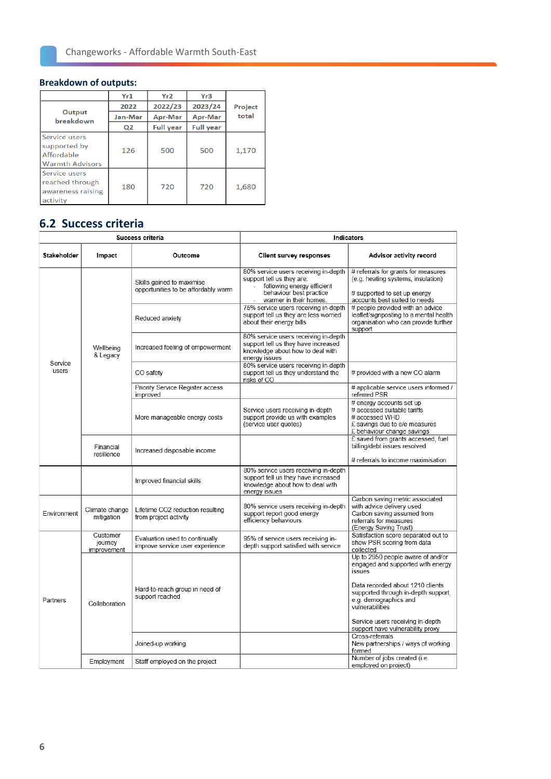### **Breakdown of outputs:**

|                                                                       | Yr1            | Yr2              | Yr <sub>3</sub>  |         |
|-----------------------------------------------------------------------|----------------|------------------|------------------|---------|
|                                                                       | 2022           | 2022/23          | 2023/24          | Project |
| Output<br>breakdown                                                   | Jan-Mar        | Apr-Mar          | Apr-Mar          | total   |
|                                                                       | Q <sub>2</sub> | <b>Full year</b> | <b>Full year</b> |         |
| Service users<br>supported by<br>Affordable<br><b>Warmth Advisors</b> | 126            | 500              | 500              | 1,170   |
| Service users<br>reached through<br>awareness raising<br>activity     | 180            | 720              | 720              | 1,680   |

## **6.2 Success criteria**

| Success criteria |                                    | Indicators                                                        |                                                                                                                                                        |                                                                                                                                               |
|------------------|------------------------------------|-------------------------------------------------------------------|--------------------------------------------------------------------------------------------------------------------------------------------------------|-----------------------------------------------------------------------------------------------------------------------------------------------|
| Stakeholder      | Impact                             | Outcome                                                           | <b>Client survey responses</b>                                                                                                                         | Advisor activity record                                                                                                                       |
| Service<br>users | Wellbeing<br>& Legacy              | Skills gained to maximise<br>opportunities to be affordably warm  | 80% service users receiving in-depth<br>support tell us they are:<br>following energy efficient<br>behaviour best practice<br>- warmer in their homes. | # referrals for grants for measures<br>(e.g. heating systems, insulation)<br># supported to set up energy<br>accounts best suited to needs    |
|                  |                                    | Reduced anxiety                                                   | 75% service users receiving in-depth<br>support tell us they are less worried<br>about their energy bills                                              | # people provided with an advice<br>leaflet/signposting to a mental health<br>organisation who can provide further<br>support                 |
|                  |                                    | Increased feeling of empowerment                                  | 80% service users receiving in-depth<br>support tell us they have increased<br>knowledge about how to deal with<br>energy issues                       |                                                                                                                                               |
|                  |                                    | CO safety                                                         | 80% service users receiving in-depth<br>support tell us they understand the<br>risks of CO                                                             | # provided with a new CO alarm                                                                                                                |
|                  |                                    | Priority Service Register access<br>improved                      |                                                                                                                                                        | # applicable service users informed /<br>referred PSR                                                                                         |
|                  |                                    | More manageable energy costs                                      | Service users receiving in-depth<br>support provide us with examples<br>(service user quotes)                                                          | # energy accounts set up<br># accessed suitable tariffs<br># accessed WHD<br>£ savings due to e/e measures<br>£ behaviour change savings      |
|                  | Financial<br>resilience            | Increased disposable income                                       |                                                                                                                                                        | £ saved from grants accessed, fuel<br>billing/debt issues resolved<br># referrals to income maximisation                                      |
|                  |                                    | Improved financial skills                                         | 80% service users receiving in-depth<br>support tell us they have increased<br>knowledge about how to deal with<br>energy issues                       |                                                                                                                                               |
| Fnvironment      | Climate change<br>mitigation       | Lifetime CO2 reduction resulting<br>from project activity         | 80% service users receiving in-depth<br>support report good energy<br>efficiency behaviours                                                            | Carbon saving metric associated<br>with advice delivery used<br>Carbon saving assumed from<br>referrals for measures<br>(Energy Saving Trust) |
| Partners         | Customer<br>journey<br>improvement | Evaluation used to continually<br>improve service user experience | 95% of service users receiving in-<br>depth support satisfied with service                                                                             | Satisfaction score separated out to<br>show PSR scoring from data<br>collected                                                                |
|                  |                                    |                                                                   |                                                                                                                                                        | Up to 2950 people aware of and/or<br>engaged and supported with energy<br>issues                                                              |
|                  | Collaboration                      | Hard-to-reach group in need of<br>support reached                 |                                                                                                                                                        | Data recorded about 1210 clients<br>supported through in-depth support,<br>e.g. demographics and<br>vulnerabilities                           |
|                  |                                    |                                                                   |                                                                                                                                                        | Service users receiving in-depth<br>support have vulnerability proxy                                                                          |
|                  |                                    | Joined-up working                                                 |                                                                                                                                                        | Cross-referrals<br>New partnerships / ways of working<br>formed                                                                               |
|                  | Employment                         | Staff employed on the project                                     |                                                                                                                                                        | Number of jobs created (i.e.<br>employed on project)                                                                                          |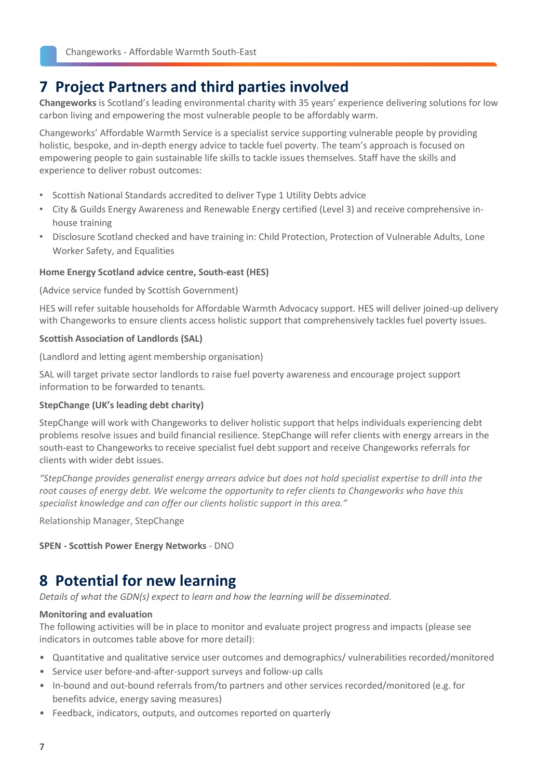## **7 Project Partners and third parties involved**

**Changeworks** is Scotland's leading environmental charity with 35 years' experience delivering solutions for low carbon living and empowering the most vulnerable people to be affordably warm.

Changeworks' Affordable Warmth Service is a specialist service supporting vulnerable people by providing holistic, bespoke, and in-depth energy advice to tackle fuel poverty. The team's approach is focused on empowering people to gain sustainable life skills to tackle issues themselves. Staff have the skills and experience to deliver robust outcomes:

- Scottish National Standards accredited to deliver Type 1 Utility Debts advice
- City & Guilds Energy Awareness and Renewable Energy certified (Level 3) and receive comprehensive inhouse training
- Disclosure Scotland checked and have training in: Child Protection, Protection of Vulnerable Adults, Lone Worker Safety, and Equalities

#### **Home Energy Scotland advice centre, South-east (HES)**

(Advice service funded by Scottish Government)

HES will refer suitable households for Affordable Warmth Advocacy support. HES will deliver joined-up delivery with Changeworks to ensure clients access holistic support that comprehensively tackles fuel poverty issues.

#### **Scottish Association of Landlords (SAL)**

(Landlord and letting agent membership organisation)

SAL will target private sector landlords to raise fuel poverty awareness and encourage project support information to be forwarded to tenants.

#### **StepChange (UK's leading debt charity)**

StepChange will work with Changeworks to deliver holistic support that helps individuals experiencing debt problems resolve issues and build financial resilience. StepChange will refer clients with energy arrears in the south-east to Changeworks to receive specialist fuel debt support and receive Changeworks referrals for clients with wider debt issues.

*"StepChange provides generalist energy arrears advice but does not hold specialist expertise to drill into the root causes of energy debt. We welcome the opportunity to refer clients to Changeworks who have this specialist knowledge and can offer our clients holistic support in this area."*

Relationship Manager, StepChange

#### **SPEN - Scottish Power Energy Networks** - DNO

## **8 Potential for new learning**

*Details of what the GDN(s) expect to learn and how the learning will be disseminated.* 

#### **Monitoring and evaluation**

The following activities will be in place to monitor and evaluate project progress and impacts (please see indicators in outcomes table above for more detail):

- Quantitative and qualitative service user outcomes and demographics/ vulnerabilities recorded/monitored
- Service user before-and-after-support surveys and follow-up calls
- In-bound and out-bound referrals from/to partners and other services recorded/monitored (e.g. for benefits advice, energy saving measures)
- Feedback, indicators, outputs, and outcomes reported on quarterly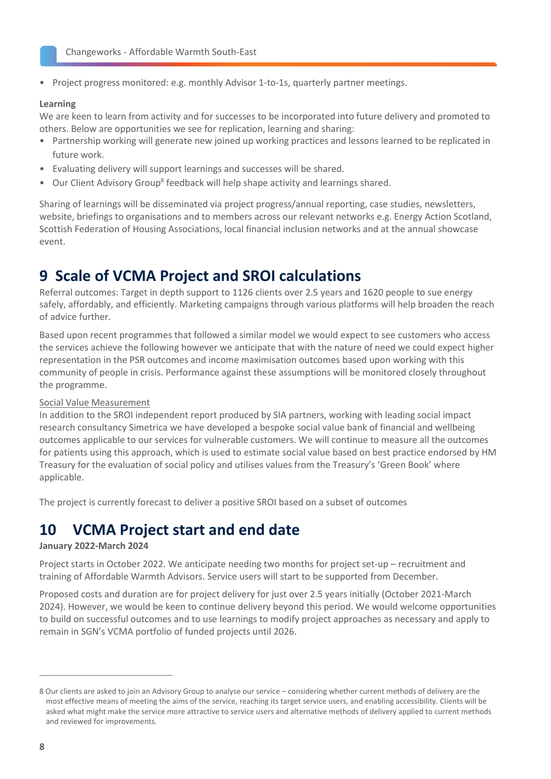• Project progress monitored: e.g. monthly Advisor 1-to-1s, quarterly partner meetings.

#### **Learning**

We are keen to learn from activity and for successes to be incorporated into future delivery and promoted to others. Below are opportunities we see for replication, learning and sharing:

- Partnership working will generate new joined up working practices and lessons learned to be replicated in future work.
- Evaluating delivery will support learnings and successes will be shared.
- Our Client Advisory Group<sup>8</sup> feedback will help shape activity and learnings shared.

Sharing of learnings will be disseminated via project progress/annual reporting, case studies, newsletters, website, briefings to organisations and to members across our relevant networks e.g. Energy Action Scotland, Scottish Federation of Housing Associations, local financial inclusion networks and at the annual showcase event.

## **9 Scale of VCMA Project and SROI calculations**

Referral outcomes: Target in depth support to 1126 clients over 2.5 years and 1620 people to sue energy safely, affordably, and efficiently. Marketing campaigns through various platforms will help broaden the reach of advice further.

Based upon recent programmes that followed a similar model we would expect to see customers who access the services achieve the following however we anticipate that with the nature of need we could expect higher representation in the PSR outcomes and income maximisation outcomes based upon working with this community of people in crisis. Performance against these assumptions will be monitored closely throughout the programme.

#### Social Value Measurement

In addition to the SROI independent report produced by SIA partners, working with leading social impact research consultancy Simetrica we have developed a bespoke social value bank of financial and wellbeing outcomes applicable to our services for vulnerable customers. We will continue to measure all the outcomes for patients using this approach, which is used to estimate social value based on best practice endorsed by HM Treasury for the evaluation of social policy and utilises values from the Treasury's 'Green Book' where applicable.

The project is currently forecast to deliver a positive SROI based on a subset of outcomes

## **10 VCMA Project start and end date**

#### **January 2022-March 2024**

Project starts in October 2022. We anticipate needing two months for project set-up – recruitment and training of Affordable Warmth Advisors. Service users will start to be supported from December.

Proposed costs and duration are for project delivery for just over 2.5 years initially (October 2021-March 2024). However, we would be keen to continue delivery beyond this period. We would welcome opportunities to build on successful outcomes and to use learnings to modify project approaches as necessary and apply to remain in SGN's VCMA portfolio of funded projects until 2026.

<sup>8</sup> Our clients are asked to join an Advisory Group to analyse our service – considering whether current methods of delivery are the most effective means of meeting the aims of the service, reaching its target service users, and enabling accessibility. Clients will be asked what might make the service more attractive to service users and alternative methods of delivery applied to current methods and reviewed for improvements.